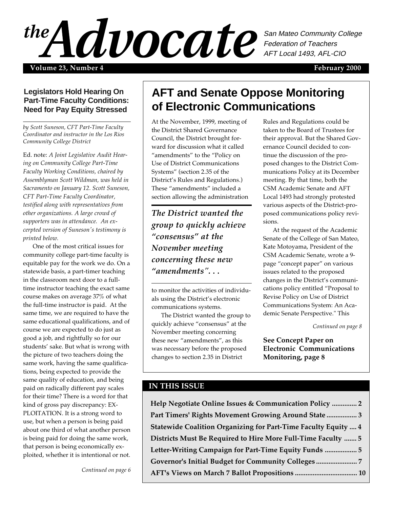FEBRUARY 2000 1 **Volume 23, Number 4 February 2000** San Mateo Community College Federation of Teachers AFT Local 1493, AFL-CIO

## **Legislators Hold Hearing On Part-Time Faculty Conditions: Need for Pay Equity Stressed**

*by Scott Suneson, CFT Part-Time Faculty Coordinator and instructor in the Los Rios Community College District*

Ed. note: *A Joint Legislative Audit Hearing on Community College Part-Time Faculty Working Conditions, chaired by Assemblyman Scott Wildman, was held in Sacramento on January 12. Scott Suneson, CFT Part-Time Faculty Coordinator, testified along with representatives from other organizations. A large crowd of supporters was in attendance. An excerpted version of Suneson's testimony is printed below.*

One of the most critical issues for community college part-time faculty is equitable pay for the work we do. On a statewide basis, a part-timer teaching in the classroom next door to a fulltime instructor teaching the exact same course makes on average 37% of what the full-time instructor is paid. At the same time, we are required to have the same educational qualifications, and of course we are expected to do just as good a job, and rightfully so for our students' sake. But what is wrong with the picture of two teachers doing the same work, having the same qualifications, being expected to provide the same quality of education, and being paid on radically different pay scales for their time? There is a word for that kind of gross pay discrepancy: EX-PLOITATION. It is a strong word to use, but when a person is being paid about one third of what another person is being paid for doing the same work, that person is being economically exploited, whether it is intentional or not.

*Continued on page 6*

# **AFT and Senate Oppose Monitoring of Electronic Communications**

At the November, 1999, meeting of the District Shared Governance Council, the District brought forward for discussion what it called "amendments" to the "Policy on Use of District Communications Systems" (section 2.35 of the District's Rules and Regulations.) These "amendments" included a section allowing the administration

*The District wanted the group to quickly achieve "consensus" at the November meeting concerning these new "amendments". . .*

to monitor the activities of individuals using the District's electronic communications systems.

The District wanted the group to quickly achieve "consensus" at the November meeting concerning these new "amendments", as this was necessary before the proposed changes to section 2.35 in District

Rules and Regulations could be taken to the Board of Trustees for their approval. But the Shared Governance Council decided to continue the discussion of the proposed changes to the District Communications Policy at its December meeting. By that time, both the CSM Academic Senate and AFT Local 1493 had strongly protested various aspects of the District-proposed communications policy revisions.

At the request of the Academic Senate of the College of San Mateo, Kate Motoyama, President of the CSM Academic Senate, wrote a 9 page "concept paper" on various issues related to the proposed changes in the District's communications policy entitled "Proposal to Revise Policy on Use of District Communications System: An Academic Senate Perspective." This

*Continued on page 8*

**See Concept Paper on Electronic Communications Monitoring, page 8**

## **IN THIS ISSUE**

**Help Negotiate Online Issues & Communication Policy .............. 2 Part Timers' Rights Movement Growing Around State ................. 3 Statewide Coalition Organizing for Part-Time Faculty Equity .... 4 Districts Must Be Required to Hire More Full-Time Faculty ....... 5 Letter-Writing Campaign for Part-Time Equity Funds .................. 5 Governor's Initial Budget for Community Colleges ....................... 7 AFT's Views on March 7 Ballot Propositions ................................... 10**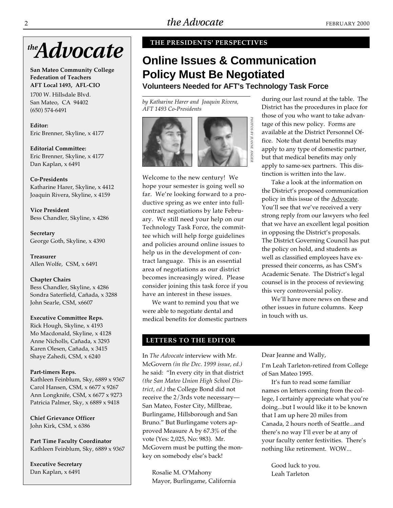

**San Mateo Community College Federation of Teachers AFT Local 1493, AFL-CIO**

1700 W. Hillsdale Blvd. San Mateo, CA 94402 (650) 574-6491

**Editor:** Eric Brenner, Skyline, x 4177

**Editorial Committee:** Eric Brenner, Skyline, x 4177 Dan Kaplan, x 6491

**Co-Presidents** Katharine Harer, Skyline, x 4412 Joaquin Rivera, Skyline, x 4159

**Vice President** Bess Chandler, Skyline, x 4286

**Secretary** George Goth, Skyline, x 4390

**Treasurer** Allen Wolfe, CSM, x 6491

**Chapter Chairs** Bess Chandler, Skyline, x 4286 Sondra Saterfield, Cañada, x 3288 John Searle, CSM, x6607

### **Executive Committee Reps.**

Rick Hough, Skyline, x 4193 Mo Macdonald, Skyline, x 4128 Anne Nicholls, Cañada, x 3293 Karen Olesen, Cañada, x 3415 Shaye Zahedi, CSM, x 6240

#### **Part-timers Reps.**

Kathleen Feinblum, Sky, 6889 x 9367 Carol Hansen, CSM, x 6677 x 9267 Ann Longknife, CSM, x 6677 x 9273 Patricia Palmer, Sky, x 6889 x 9418

**Chief Grievance Officer** John Kirk, CSM, x 6386

**Part Time Faculty Coordinator** Kathleen Feinblum, Sky, 6889 x 9367

**Executive Secretary** Dan Kaplan, x 6491

### **THE PRESIDENTS' PERSPECTIVES**

# **Online Issues & Communication Policy Must Be Negotiated**

**Volunteers Needed for AFT's Technology Task Force**

*by Katharine Harer and Joaquin Rivera, AFT 1493 Co-Presidents*



Welcome to the new century! We hope your semester is going well so far. We're looking forward to a productive spring as we enter into fullcontract negotiations by late February. We still need your help on our Technology Task Force, the committee which will help forge guidelines and policies around online issues to help us in the development of contract language. This is an essential area of negotiations as our district becomes increasingly wired. Please consider joining this task force if you have an interest in these issues.

We want to remind you that we were able to negotiate dental and medical benefits for domestic partners

### **LETTERS TO THE EDITOR**

In *The Advocate* interview with Mr. McGovern *(in the Dec. 1999 issue, ed.)* he said: "In every city in that district *(the San Mateo Union High School District, ed.)* the College Bond did not receive the 2/3rds vote necessary— San Mateo, Foster City, Millbrae, Burlingame, Hillsborough and San Bruno." But Burlingame voters approved Measure A by 67.3% of the vote (Yes: 2,025, No: 983). Mr. McGovern must be putting the monkey on somebody else's back!

Rosalie M. O'Mahony Mayor, Burlingame, California during our last round at the table. The District has the procedures in place for those of you who want to take advantage of this new policy. Forms are available at the District Personnel Office. Note that dental benefits may apply to any type of domestic partner, but that medical benefits may only apply to same-sex partners. This distinction is written into the law.

Take a look at the information on the District's proposed communication policy in this issue of the **Advocate**. You'll see that we've received a very strong reply from our lawyers who feel that we have an excellent legal position in opposing the District's proposals. The District Governing Council has put the policy on hold, and students as well as classified employees have expressed their concerns, as has CSM's Academic Senate. The District's legal counsel is in the process of reviewing this very controversial policy.

We'll have more news on these and other issues in future columns. Keep in touch with us.

Dear Jeanne and Wally,

I'm Leah Tarleton-retired from College of San Mateo 1995.

It's fun to read some familiar names on letters coming from the college, I certainly appreciate what you're doing...but I would like it to be known that I am up here 20 miles from Canada, 2 hours north of Seattle...and there's no way I'll ever be at any of your faculty center festivities. There's nothing like retirement. WOW...

Good luck to you. Leah Tarleton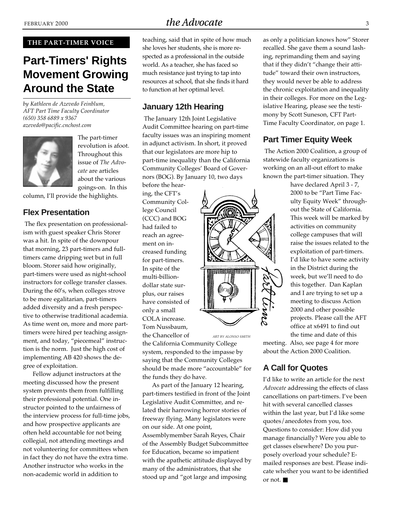### **THE PART-TIMER VOICE**

# **Part-Timers' Rights Movement Growing Around the State**

*by Kathleen de Azevedo Feinblum, AFT Part Time Faculty Coordinator (650) 358 6889 x 9367 azevedo@pacific.cnchost.com*



The part-timer revolution is afoot. Throughout this issue of *The Advocate* are articles about the various goings-on. In this

column, I'll provide the highlights.

## **Flex Presentation**

 The flex presentation on professionalism with guest speaker Chris Storer was a hit. In spite of the downpour that morning, 23 part-timers and fulltimers came dripping wet but in full bloom. Storer said how originally, part-timers were used as night-school instructors for college transfer classes. During the 60's, when colleges strove to be more egalitarian, part-timers added diversity and a fresh perspective to otherwise traditional academia. As time went on, more and more parttimers were hired per teaching assignment, and today, "piecemeal" instruction is the norm. Just the high cost of implementing AB 420 shows the degree of exploitation.

Fellow adjunct instructors at the meeting discussed how the present system prevents them from fulfilling their professional potential. One instructor pointed to the unfairness of the interview process for full-time jobs, and how prospective applicants are often held accountable for not being collegial, not attending meetings and not volunteering for committees when in fact they do not have the extra time. Another instructor who works in the non-academic world in addition to

teaching, said that in spite of how much she loves her students, she is more respected as a professional in the outside world. As a teacher, she has faced so much resistance just trying to tap into resources at school, that she finds it hard to function at her optimal level.

# **January 12th Hearing**

 The January 12th Joint Legislative Audit Committee hearing on part-time faculty issues was an inspiring moment in adjunct activism. In short, it proved that our legislators are more hip to part-time inequality than the California Community Colleges' Board of Governors (BOG). By January 10, two days

before the hearing, the CFT's Community College Council (CCC) and BOG had failed to reach an agreement on increased funding for part-timers. In spite of the multi-billiondollar state surplus, our raises have consisted of only a small COLA increase. Tom Nussbaum, the Chancellor of

the California Community College system, responded to the impasse by saying that the Community Colleges should be made more "accountable" for the funds they do have. *ART BY ALONSO SMITH*

As part of the January 12 hearing, part-timers testified in front of the Joint Legislative Audit Committee, and related their harrowing horror stories of freeway flying. Many legislators were on our side. At one point, Assemblymember Sarah Reyes, Chair of the Assembly Budget Subcommittee for Education, became so impatient with the apathetic attitude displayed by many of the administrators, that she stood up and "got large and imposing

as only a politician knows how" Storer recalled. She gave them a sound lashing, reprimanding them and saying that if they didn't "change their attitude" toward their own instructors, they would never be able to address the chronic exploitation and inequality in their colleges. For more on the Legislative Hearing, please see the testimony by Scott Suneson, CFT Part-Time Faculty Coordinator, on page 1.

# **Part Timer Equity Week**

 The Action 2000 Coalition, a group of statewide faculty organizations is working on an all-out effort to make known the part-timer situation. They

> have declared April 3 - 7, 2000 to be "Part Time Faculty Equity Week" throughout the State of California. This week will be marked by activities on community college campuses that will raise the issues related to the exploitation of part-timers. I'd like to have some activity in the District during the week, but we'll need to do this together. Dan Kaplan and I are trying to set up a meeting to discuss Action 2000 and other possible projects. Please call the AFT office at x6491 to find out the time and date of this

meeting. Also, see page 4 for more about the Action 2000 Coalition.

# **A Call for Quotes**

I'd like to write an article for the next *Advocate* addressing the effects of class cancellations on part-timers. I've been hit with several cancelled classes within the last year, but I'd like some quotes/anecdotes from you, too. Questions to consider: How did you manage financially? Were you able to get classes elsewhere? Do you purposely overload your schedule? Emailed responses are best. Please indicate whether you want to be identified or not. ■



mmm csons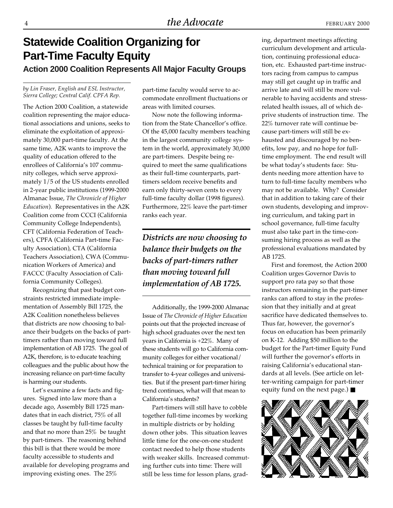# **Statewide Coalition Organizing for Part-Time Faculty Equity Action 2000 Coalition Represents All Major Faculty Groups**

#### *by Lin Fraser, English and ESL Instructor, Sierra College; Central Calif. CPFA Rep.*

The Action 2000 Coalition, a statewide coalition representing the major educational associations and unions, seeks to eliminate the exploitation of approximately 30,000 part-time faculty. At the same time, A2K wants to improve the quality of education offered to the enrollees of California's 107 community colleges, which serve approximately 1/5 of the US students enrolled in 2-year public institutions (1999-2000 Almanac Issue, *The Chronicle of Higher Education*)*.* Representatives in the A2K Coalition come from CCCI (California Community College Independents), CFT (California Federation of Teachers), CPFA (California Part-time Faculty Association), CTA (California Teachers Association), CWA (Communication Workers of America) and FACCC (Faculty Association of California Community Colleges).

Recognizing that past budget constraints restricted immediate implementation of Assembly Bill 1725, the A2K Coalition nonetheless believes that districts are now choosing to balance their budgets on the backs of parttimers rather than moving toward full implementation of AB 1725. The goal of A2K, therefore, is to educate teaching colleagues and the public about how the increasing reliance on part-time faculty is harming our students.

Let's examine a few facts and figures. Signed into law more than a decade ago, Assembly Bill 1725 mandates that in each district, 75% of all classes be taught by full-time faculty and that no more than 25% be taught by part-timers. The reasoning behind this bill is that there would be more faculty accessible to students and available for developing programs and improving existing ones. The 25%

part-time faculty would serve to accommodate enrollment fluctuations or areas with limited courses.

Now note the following information from the State Chancellor's office. Of the 45,000 faculty members teaching in the largest community college system in the world, approximately 30,000 are part-timers. Despite being required to meet the same qualifications as their full-time counterparts, parttimers seldom receive benefits and earn only thirty-seven cents to every full-time faculty dollar (1998 figures). Furthermore, 22% leave the part-timer ranks each year.

*Districts are now choosing to balance their budgets on the backs of part-timers rather than moving toward full implementation of AB 1725.*

Additionally, the 1999-2000 Almanac Issue of *The Chronicle of Higher Education* points out that the projected increase of high school graduates over the next ten years in California is +22%. Many of these students will go to California community colleges for either vocational/ technical training or for preparation to transfer to 4-year colleges and universities. But if the present part-timer hiring trend continues, what will that mean to California's students?

Part-timers will still have to cobble together full-time incomes by working in multiple districts or by holding down other jobs. This situation leaves little time for the one-on-one student contact needed to help those students with weaker skills. Increased commuting further cuts into time: There will still be less time for lesson plans, grading, department meetings affecting curriculum development and articulation, continuing professional education, etc. Exhausted part-time instructors racing from campus to campus may still get caught up in traffic and arrive late and will still be more vulnerable to having accidents and stressrelated health issues, all of which deprive students of instruction time. The 22% turnover rate will continue because part-timers will still be exhausted and discouraged by no benefits, low pay, and no hope for fulltime employment. The end result will be what today's students face: Students needing more attention have to turn to full-time faculty members who may not be available. Why? Consider that in addition to taking care of their own students, developing and improving curriculum, and taking part in school governance, full-time faculty must also take part in the time-consuming hiring process as well as the professional evaluations mandated by AB 1725.

First and foremost, the Action 2000 Coalition urges Governor Davis to support pro rata pay so that those instructors remaining in the part-timer ranks can afford to stay in the profession that they initially and at great sacrifice have dedicated themselves to. Thus far, however, the governor's focus on education has been primarily on K-12. Adding \$50 million to the budget for the Part-timer Equity Fund will further the governor's efforts in raising California's educational standards at all levels. (See article on letter-writing campaign for part-timer equity fund on the next page.) ■

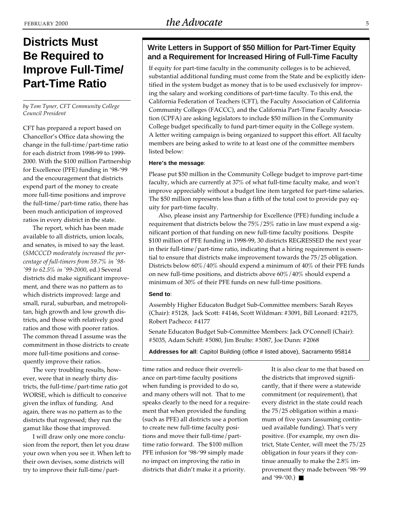# **Districts Must Be Required to Improve Full-Time/ Part-Time Ratio**

*by Tom Tyner, CFT Community College Council President*

CFT has prepared a report based on Chancellor's Office data showing the change in the full-time/part-time ratio for each district from 1998-99 to 1999- 2000. With the \$100 million Partnership for Excellence (PFE) funding in '98-'99 and the encouragement that districts expend part of the money to create more full-time positions and improve the full-time/part-time ratio, there has been much anticipation of improved ratios in every district in the state.

The report, which has been made available to all districts, union locals, and senates, is mixed to say the least. (*SMCCCD moderately increased the percentage of full-timers from 59.7% in '98- '99 to 62.5% in '99-2000*, ed.) Several districts did make significant improvement, and there was no pattern as to which districts improved: large and small, rural, suburban, and metropolitan, high growth and low growth districts, and those with relatively good ratios and those with poorer ratios. The common thread I assume was the commitment in those districts to create more full-time positions and consequently improve their ratios.

The very troubling results, however, were that in nearly thirty districts, the full-time/part-time ratio got WORSE, which is difficult to conceive given the influx of funding. And again, there was no pattern as to the districts that regressed; they run the gamut like those that improved.

I will draw only one more conclusion from the report, then let you draw your own when you see it. When left to their own devises, some districts will try to improve their full-time/part-

## **Write Letters in Support of \$50 Million for Part-Timer Equity and a Requirement for Increased Hiring of Full-Time Faculty**

If equity for part-time faculty in the community colleges is to be achieved, substantial additional funding must come from the State and be explicitly identified in the system budget as money that is to be used exclusively for improving the salary and working conditions of part-time faculty. To this end, the California Federation of Teachers (CFT), the Faculty Association of California Community Colleges (FACCC), and the California Part-Time Faculty Association (CPFA) are asking legislators to include \$50 million in the Community College budget specifically to fund part-timer equity in the College system. A letter writing campaign is being organized to support this effort. All faculty members are being asked to write to at least one of the committee members listed below:

### **Here's the message**:

Please put \$50 million in the Community College budget to improve part-time faculty, which are currently at 37% of what full-time faculty make, and won't improve appreciably without a budget line item targeted for part-time salaries. The \$50 million represents less than a fifth of the total cost to provide pay equity for part-time faculty.

Also, please insist any Partnership for Excellence (PFE) funding include a requirement that districts below the 75%/25% ratio in law must expend a significant portion of that funding on new full-time faculty positions. Despite \$100 million of PFE funding in 1998-99, 30 districts REGRESSED the next year in their full-time/part-time ratio, indicating that a hiring requirement is essential to ensure that districts make improvement towards the 75/25 obligation. Districts below 60%/40% should expend a minimum of 40% of their PFE funds on new full-time positions, and districts above 60%/40% should expend a minimum of 30% of their PFE funds on new full-time positions.

### **Send to**:

Assembly Higher Educaton Budget Sub-Committee members: Sarah Reyes (Chair): #5128, Jack Scott: #4146, Scott Wildman: #3091, Bill Leonard: #2175, Robert Pacheco: #4177

Senate Educaton Budget Sub-Committee Members: Jack O'Connell (Chair): #5035, Adam Schiff: #5080, Jim Brulte: #5087, Joe Dunn: #2068

**Addresses for all**: Capitol Building (office # listed above), Sacramento 95814

time ratios and reduce their overreliance on part-time faculty positions when funding is provided to do so, and many others will not. That to me speaks clearly to the need for a requirement that when provided the funding (such as PFE) all districts use a portion to create new full-time faculty positions and move their full-time/parttime ratio forward. The \$100 million PFE infusion for '98-'99 simply made no impact on improving the ratio in districts that didn't make it a priority.

It is also clear to me that based on the districts that improved significantly, that if there were a statewide commitment (or requirement), that every district in the state could reach the 75/25 obligation within a maximum of five years (assuming continued available funding). That's very positive. (For example, my own district, State Center, will meet the 75/25 obligation in four years if they continue annually to make the 2.8% improvement they made between '98-'99 and '99-'00.) ■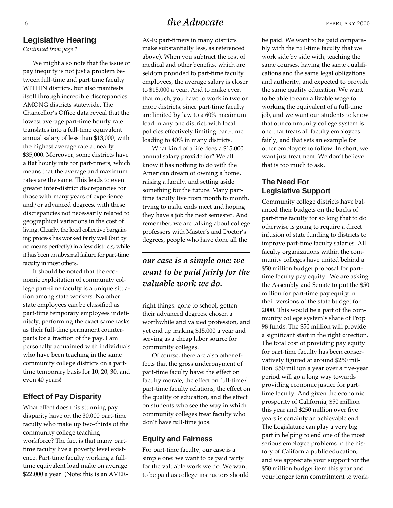*Continued from page 1*

We might also note that the issue of pay inequity is not just a problem between full-time and part-time faculty WITHIN districts, but also manifests itself through incredible discrepancies AMONG districts statewide. The Chancellor's Office data reveal that the lowest average part-time hourly rate translates into a full-time equivalent annual salary of less than \$13,000, with the highest average rate at nearly \$35,000. Moreover, some districts have a flat hourly rate for part-timers, which means that the average and maximum rates are the same. This leads to even greater inter-district discrepancies for those with many years of experience and/or advanced degrees, with these discrepancies not necessarily related to geographical variations in the cost of living. Clearly, the local collective bargaining process has worked fairly well (but by no means perfectly) in a few districts, while it has been an abysmal failure for part-time faculty in most others.

It should be noted that the economic exploitation of community college part-time faculty is a unique situation among state workers. No other state employees can be classified as part-time temporary employees indefinitely, performing the exact same tasks as their full-time permanent counterparts for a fraction of the pay. I am personally acquainted with individuals who have been teaching in the same community college districts on a parttime temporary basis for 10, 20, 30, and even 40 years!

### **Effect of Pay Disparity**

What effect does this stunning pay disparity have on the 30,000 part-time faculty who make up two-thirds of the community college teaching workforce? The fact is that many parttime faculty live a poverty level existence. Part-time faculty working a fulltime equivalent load make on average \$22,000 a year. (Note: this is an AVER-

AGE; part-timers in many districts make substantially less, as referenced above). When you subtract the cost of medical and other benefits, which are seldom provided to part-time faculty employees, the average salary is closer to \$15,000 a year. And to make even that much, you have to work in two or more districts, since part-time faculty are limited by law to a 60% maximum load in any one district, with local policies effectively limiting part-time loading to 40% in many districts.

What kind of a life does a \$15,000 annual salary provide for? We all know it has nothing to do with the American dream of owning a home, raising a family, and setting aside something for the future. Many parttime faculty live from month to month, trying to make ends meet and hoping they have a job the next semester. And remember, we are talking about college professors with Master's and Doctor's degrees, people who have done all the

# *our case is a simple one: we want to be paid fairly for the valuable work we do.*

right things: gone to school, gotten their advanced degrees, chosen a worthwhile and valued profession, and yet end up making \$15,000 a year and serving as a cheap labor source for community colleges.

Of course, there are also other effects that the gross underpayment of part-time faculty have: the effect on faculty morale, the effect on full-time/ part-time faculty relations, the effect on the quality of education, and the effect on students who see the way in which community colleges treat faculty who don't have full-time jobs.

### **Equity and Fairness**

For part-time faculty, our case is a simple one: we want to be paid fairly for the valuable work we do. We want to be paid as college instructors should be paid. We want to be paid comparably with the full-time faculty that we work side by side with, teaching the same courses, having the same qualifications and the same legal obligations and authority, and expected to provide the same quality education. We want to be able to earn a livable wage for working the equivalent of a full-time job, and we want our students to know that our community college system is one that treats all faculty employees fairly, and that sets an example for other employers to follow. In short, we want just treatment. We don't believe that is too much to ask.

## **The Need For Legislative Support**

Community college districts have balanced their budgets on the backs of part-time faculty for so long that to do otherwise is going to require a direct infusion of state funding to districts to improve part-time faculty salaries. All faculty organizations within the community colleges have united behind a \$50 million budget proposal for parttime faculty pay equity. We are asking the Assembly and Senate to put the \$50 million for part-time pay equity in their versions of the state budget for 2000. This would be a part of the community college system's share of Prop 98 funds. The \$50 million will provide a significant start in the right direction. The total cost of providing pay equity for part-time faculty has been conservatively figured at around \$250 million. \$50 million a year over a five-year period will go a long way towards providing economic justice for parttime faculty. And given the economic prosperity of California, \$50 million this year and \$250 million over five years is certainly an achievable end. The Legislature can play a very big part in helping to end one of the most serious employee problems in the history of California public education, and we appreciate your support for the \$50 million budget item this year and your longer term commitment to work-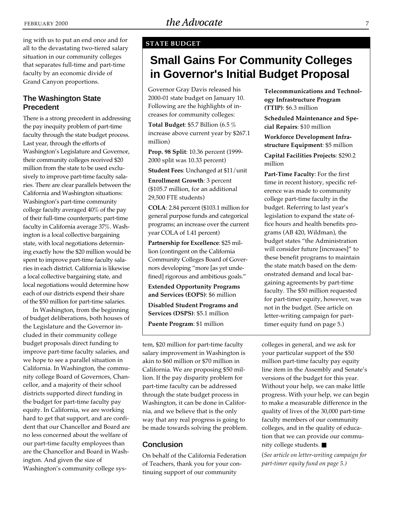### **STATE BUDGET**

# **Small Gains For Community Colleges in Governor's Initial Budget Proposal**

Governor Gray Davis released his 2000-01 state budget on January 10. Following are the highlights of increases for community colleges:

**Total Budget**: \$5.7 Billion (6.5 % increase above current year by \$267.1 million)

**Prop. 98 Split**: 10.36 percent (1999- 2000 split was 10.33 percent)

**Student Fees**: Unchanged at \$11/unit

**Enrollment Growth**: 3 percent (\$105.7 million, for an additional 29,500 FTE students)

**COLA**: 2.84 percent (\$103.1 million for general purpose funds and categorical programs; an increase over the current year COLA of 1.41 percent)

**Partnership for Excellence**: \$25 million (contingent on the California Community Colleges Board of Governors developing "more [as yet undefined] rigorous and ambitious goals."

**Extended Opportunity Programs and Services (EOPS)**: \$6 million

**Disabled Student Programs and Services (DSPS)**: \$5.1 million

**Puente Program**: \$1 million

tem, \$20 million for part-time faculty salary improvement in Washington is akin to \$60 million or \$70 million in California. We are proposing \$50 million. If the pay disparity problem for part-time faculty can be addressed through the state budget process in Washington, it can be done in California, and we believe that is the only way that any real progress is going to be made towards solving the problem.

### **Conclusion**

On behalf of the California Federation of Teachers, thank you for your continuing support of our community

**Telecommunications and Technology Infrastructure Program (TTIP)**: \$6.3 million

**Scheduled Maintenance and Special Repairs**: \$10 million

**Workforce Development Infrastructure Equipment**: \$5 million

**Capital Facilities Projects**: \$290.2 million

**Part-Time Faculty**: For the first time in recent history, specific reference was made to community college part-time faculty in the budget. Referring to last year's legislation to expand the state office hours and health benefits programs (AB 420, Wildman), the budget states "the Administration will consider future [increases]" to these benefit programs to maintain the state match based on the demonstrated demand and local bargaining agreements by part-time faculty. The \$50 million requested for part-timer equity, however, was not in the budget. (See article on letter-writing campaign for parttimer equity fund on page 5.)

colleges in general, and we ask for your particular support of the \$50 million part-time faculty pay equity line item in the Assembly and Senate's versions of the budget for this year. Without your help, we can make little progress. With your help, we can begin to make a measurable difference in the quality of lives of the 30,000 part-time faculty members of our community colleges, and in the quality of education that we can provide our community college students. ■

(*See article on letter-writing campaign for part-timer equity fund on page 5.)*

ing with us to put an end once and for all to the devastating two-tiered salary situation in our community colleges that separates full-time and part-time faculty by an economic divide of Grand Canyon proportions.

### **The Washington State Precedent**

There is a strong precedent in addressing the pay inequity problem of part-time faculty through the state budget process. Last year, through the efforts of Washington's Legislature and Governor, their community colleges received \$20 million from the state to be used exclusively to improve part-time faculty salaries. There are clear parallels between the California and Washington situations: Washington's part-time community college faculty averaged 40% of the pay of their full-time counterparts; part-time faculty in California average 37%. Washington is a local collective bargaining state, with local negotiations determining exactly how the \$20 million would be spent to improve part-time faculty salaries in each district. California is likewise a local collective bargaining state, and local negotiations would determine how each of our districts expend their share of the \$50 million for part-time salaries.

In Washington, from the beginning of budget deliberations, both houses of the Legislature and the Governor included in their community college budget proposals direct funding to improve part-time faculty salaries, and we hope to see a parallel situation in California. In Washington, the community college Board of Governors, Chancellor, and a majority of their school districts supported direct funding in the budget for part-time faculty pay equity. In California, we are working hard to get that support, and are confident that our Chancellor and Board are no less concerned about the welfare of our part-time faculty employees than are the Chancellor and Board in Washington. And given the size of Washington's community college sys-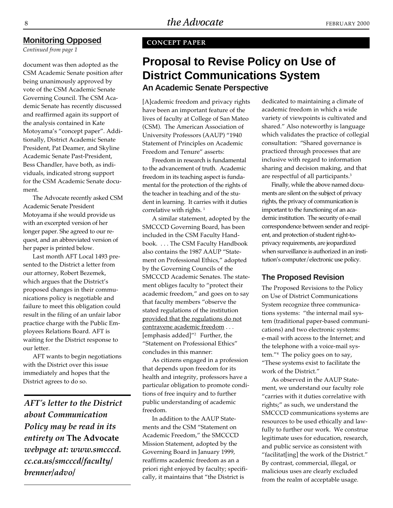### **Monitoring Opposed**

*Continued from page 1*

document was then adopted as the CSM Academic Senate position after being unanimously approved by vote of the CSM Academic Senate Governing Council. The CSM Academic Senate has recently discussed and reaffirmed again its support of the analysis contained in Kate Motoyama's "concept paper". Additionally, District Academic Senate President, Pat Deamer, and Skyline Academic Senate Past-President, Bess Chandler, have both, as individuals, indicated strong support for the CSM Academic Senate document.

The Advocate recently asked CSM Academic Senate President Motoyama if she would provide us with an excerpted version of her longer paper. She agreed to our request, and an abbreviated version of her paper is printed below.

Last month AFT Local 1493 presented to the District a letter from our attorney, Robert Bezemek, which argues that the District's proposed changes in their communications policy is negotiable and failure to meet this obligation could result in the filing of an unfair labor practice charge with the Public Employees Relations Board. AFT is waiting for the District response to our letter.

AFT wants to begin negotiations with the District over this issue immediately and hopes that the District agrees to do so.

*AFT's letter to the District about Communication Policy may be read in its entirety on* **The Advocate** *webpage at: www.smcccd. cc.ca.us/smcccd/faculty/ brenner/advo/*

### **CONCEPT PAPER**

# **Proposal to Revise Policy on Use of District Communications System An Academic Senate Perspective**

[A]cademic freedom and privacy rights have been an important feature of the lives of faculty at College of San Mateo (CSM). The American Association of University Professors (AAUP) "1940 Statement of Principles on Academic Freedom and Tenure" asserts:

Freedom in research is fundamental to the advancement of truth. Academic freedom in its teaching aspect is fundamental for the protection of the rights of the teacher in teaching and of the student in learning. It carries with it duties correlative with rights.<sup>1</sup>

A similar statement, adopted by the SMCCCD Governing Board, has been included in the CSM Faculty Handbook. . . . The CSM Faculty Handbook also contains the 1987 AAUP "Statement on Professional Ethics," adopted by the Governing Councils of the SMCCCD Academic Senates. The statement obliges faculty to "protect their academic freedom," and goes on to say that faculty members "observe the stated regulations of the institution provided that the regulations do not contravene academic freedom . . . [emphasis added]"2 Further, the "Statement on Professional Ethics" concludes in this manner:

As citizens engaged in a profession that depends upon freedom for its health and integrity, professors have a particular obligation to promote conditions of free inquiry and to further public understanding of academic freedom.

In addition to the AAUP Statements and the CSM "Statement on Academic Freedom," the SMCCCD Mission Statement, adopted by the Governing Board in January 1999, reaffirms academic freedom as an a priori right enjoyed by faculty; specifically, it maintains that "the District is

dedicated to maintaining a climate of academic freedom in which a wide variety of viewpoints is cultivated and shared." Also noteworthy is language which validates the practice of collegial consultation: "Shared governance is practiced through processes that are inclusive with regard to information sharing and decision making, and that are respectful of all participants.<sup>3</sup>

Finally, while the above named documents are silent on the subject of privacy rights, the privacy of communication is important to the functioning of an academic institution. The security of e-mail correspondence between sender and recipient, and protection of student right-toprivacy requirements, are jeopardized when surveillance is authorized in an institution's computer/electronic use policy.

### **The Proposed Revision**

The Proposed Revisions to the Policy on Use of District Communications System recognize three communications systems: "the internal mail system (traditional paper-based communications) and two electronic systems: e-mail with access to the Internet; and the telephone with a voice-mail system."4 The policy goes on to say, "These systems exist to facilitate the work of the District."

As observed in the AAUP Statement, we understand our faculty role "carries with it duties correlative with rights;" as such, we understand the SMCCCD communications systems are resources to be used ethically and lawfully to further our work. We construe legitimate uses for education, research, and public service as consistent with "facilitat[ing] the work of the District." By contrast, commercial, illegal, or malicious uses are clearly excluded from the realm of acceptable usage.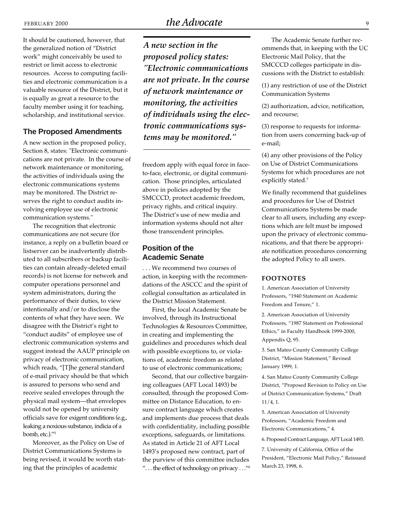It should be cautioned, however, that the generalized notion of "District work" might conceivably be used to restrict or limit access to electronic resources. Access to computing facilities and electronic communication is a valuable resource of the District, but it is equally as great a resource to the faculty member using it for teaching, scholarship, and institutional service.

### **The Proposed Amendments**

A new section in the proposed policy, Section 8, states: "Electronic communications are not private. In the course of network maintenance or monitoring, the activities of individuals using the electronic communications systems may be monitored. The District reserves the right to conduct audits involving employee use of electronic communication systems."

The recognition that electronic communications are not secure (for instance, a reply on a bulletin board or listserver can be inadvertently distributed to all subscribers or backup facilities can contain already-deleted email records) is not license for network and computer operations personnel and system administrators, during the performance of their duties, to view intentionally and/or to disclose the contents of what they have seen. We disagree with the District's right to "conduct audits" of employee use of electronic communication systems and suggest instead the AAUP principle on privacy of electronic communication, which reads, "[T]he general standard of e-mail privacy should be that which is assured to persons who send and receive sealed envelopes through the physical mail system—that envelopes would not be opened by university officials save for exigent conditions (e.g., leaking a noxious substance, indicia of a bomb, etc.)."5

Moreover, as the Policy on Use of District Communications Systems is being revised, it would be worth stating that the principles of academic

*A new section in the proposed policy states: "Electronic communications are not private. In the course of network maintenance or monitoring, the activities of individuals using the electronic communications systems may be monitored."*

freedom apply with equal force in faceto-face, electronic, or digital communication. Those principles, articulated above in policies adopted by the SMCCCD, protect academic freedom, privacy rights, and critical inquiry. The District's use of new media and information systems should not alter those transcendent principles.

## **Position of the Academic Senate**

. . . We recommend two courses of action, in keeping with the recommendations of the ASCCC and the spirit of collegial consultation as articulated in the District Mission Statement.

First, the local Academic Senate be involved, through its Instructional Technologies & Resources Committee, in creating and implementing the guidelines and procedures which deal with possible exceptions to, or violations of, academic freedom as related to use of electronic communications;

Second, that our collective bargaining colleagues (AFT Local 1493) be consulted, through the proposed Committee on Distance Education, to ensure contract language which creates and implements due process that deals with confidentiality, including possible exceptions, safeguards, or limitations. As stated in Article 21 of AFT Local 1493's proposed new contract, part of the purview of this committee includes ". . . the effect of technology on privacy . . ."6

The Academic Senate further recommends that, in keeping with the UC Electronic Mail Policy, that the SMCCCD colleges participate in discussions with the District to establish:

(1) any restriction of use of the District Communication Systems

(2) authorization, advice, notification, and recourse;

(3) response to requests for information from users concerning back-up of e-mail;

(4) any other provisions of the Policy on Use of District Communications Systems for which procedures are not explicitly stated.<sup>7</sup>

We finally recommend that guidelines and procedures for Use of District Communications Systems be made clear to all users, including any exceptions which are felt must be imposed upon the privacy of electronic communications, and that there be appropriate notification procedures concerning the adopted Policy to all users.

#### **FOOTNOTES**

1. American Association of University Professors, "1940 Statement on Academic Freedom and Tenure," 1.

2. American Association of University Professors, "1987 Statement on Professional Ethics," in Faculty Handbook 1999-2000, Appendix Q, 95.

3. San Mateo County Community College District, "Mission Statement," Revised January 1999, 1.

4. San Mateo County Community College District, "Proposed Revision to Policy on Use of District Communication Systems," Draft 11/4, 1.

5. American Association of University Professors, "Academic Freedom and Electronic Communications," 4.

6. Proposed Contract Language, AFT Local 1493.

7. University of California, Office of the President, "Electronic Mail Policy," Reissued March 23, 1998, 6.